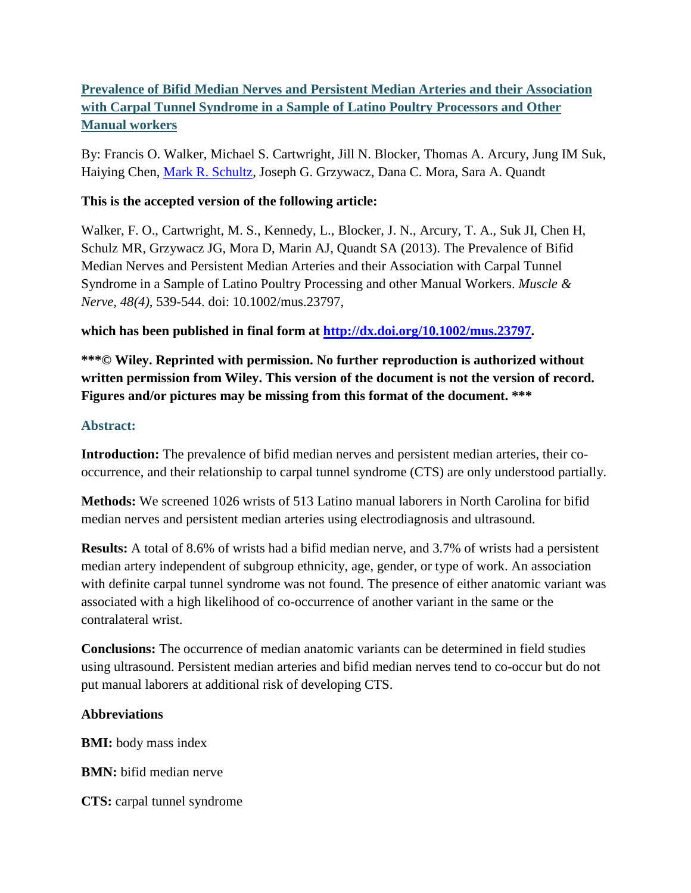# **Prevalence of Bifid Median Nerves and Persistent Median Arteries and their Association with Carpal Tunnel Syndrome in a Sample of Latino Poultry Processors and Other Manual workers**

By: Francis O. Walker, Michael S. Cartwright, Jill N. Blocker, Thomas A. Arcury, Jung IM Suk, Haiying Chen, [Mark R. Schultz,](http://libres.uncg.edu/ir/uncg/clist.aspx?id=1579) Joseph G. Grzywacz, Dana C. Mora, Sara A. Quandt

### **This is the accepted version of the following article:**

Walker, F. O., Cartwright, M. S., Kennedy, L., Blocker, J. N., Arcury, T. A., Suk JI, Chen H, Schulz MR, Grzywacz JG, Mora D, Marin AJ, Quandt SA (2013). The Prevalence of Bifid Median Nerves and Persistent Median Arteries and their Association with Carpal Tunnel Syndrome in a Sample of Latino Poultry Processing and other Manual Workers. *Muscle & Nerve, 48(4),* 539-544. doi: 10.1002/mus.23797,

## **which has been published in final form at [http://dx.doi.org/10.1002/mus.23797.](http://dx.doi.org/10.1002/mus.23797)**

**\*\*\*© Wiley. Reprinted with permission. No further reproduction is authorized without written permission from Wiley. This version of the document is not the version of record. Figures and/or pictures may be missing from this format of the document. \*\*\***

### **Abstract:**

**Introduction:** The prevalence of bifid median nerves and persistent median arteries, their cooccurrence, and their relationship to carpal tunnel syndrome (CTS) are only understood partially.

**Methods:** We screened 1026 wrists of 513 Latino manual laborers in North Carolina for bifid median nerves and persistent median arteries using electrodiagnosis and ultrasound.

**Results:** A total of 8.6% of wrists had a bifid median nerve, and 3.7% of wrists had a persistent median artery independent of subgroup ethnicity, age, gender, or type of work. An association with definite carpal tunnel syndrome was not found. The presence of either anatomic variant was associated with a high likelihood of co-occurrence of another variant in the same or the contralateral wrist.

**Conclusions:** The occurrence of median anatomic variants can be determined in field studies using ultrasound. Persistent median arteries and bifid median nerves tend to co-occur but do not put manual laborers at additional risk of developing CTS.

### **Abbreviations**

**BMI:** body mass index

**BMN:** bifid median nerve

**CTS:** carpal tunnel syndrome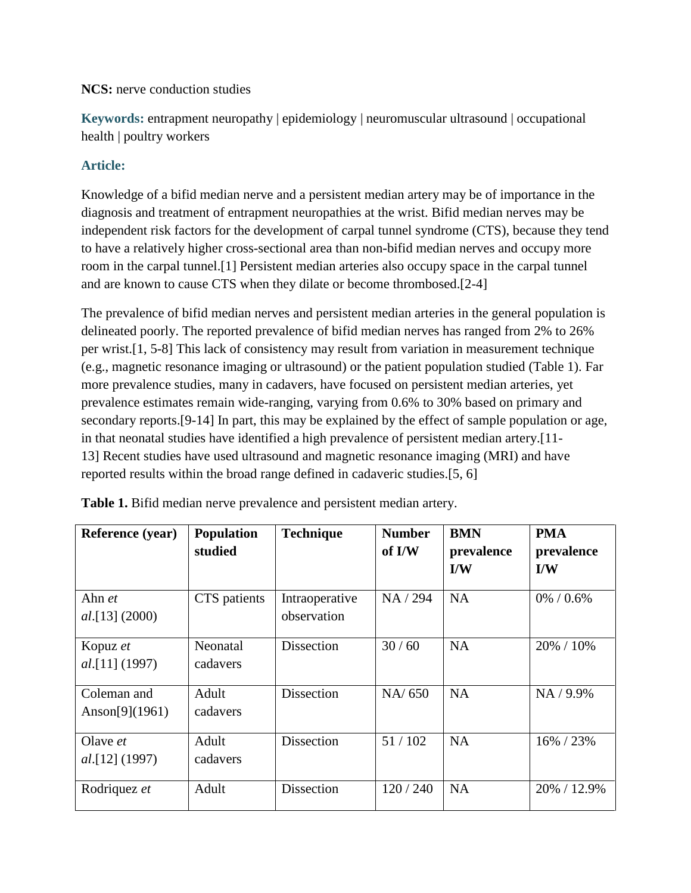### **NCS:** nerve conduction studies

**Keywords:** entrapment neuropathy | epidemiology | neuromuscular ultrasound | occupational health | poultry workers

### **Article:**

Knowledge of a bifid median nerve and a persistent median artery may be of importance in the diagnosis and treatment of entrapment neuropathies at the wrist. Bifid median nerves may be independent risk factors for the development of carpal tunnel syndrome (CTS), because they tend to have a relatively higher cross-sectional area than non-bifid median nerves and occupy more room in the carpal tunnel.[1] Persistent median arteries also occupy space in the carpal tunnel and are known to cause CTS when they dilate or become thrombosed.[2-4]

The prevalence of bifid median nerves and persistent median arteries in the general population is delineated poorly. The reported prevalence of bifid median nerves has ranged from 2% to 26% per wrist.[1, 5-8] This lack of consistency may result from variation in measurement technique (e.g., magnetic resonance imaging or ultrasound) or the patient population studied (Table 1). Far more prevalence studies, many in cadavers, have focused on persistent median arteries, yet prevalence estimates remain wide-ranging, varying from 0.6% to 30% based on primary and secondary reports.[9-14] In part, this may be explained by the effect of sample population or age, in that neonatal studies have identified a high prevalence of persistent median artery.[11- 13] Recent studies have used ultrasound and magnetic resonance imaging (MRI) and have reported results within the broad range defined in cadaveric studies.[5, 6]

| <b>Reference</b> (year) | <b>Population</b> | <b>Technique</b>  | <b>Number</b> | <b>BMN</b>              | <b>PMA</b>    |
|-------------------------|-------------------|-------------------|---------------|-------------------------|---------------|
|                         | studied           |                   | of I/W        | prevalence              | prevalence    |
|                         |                   |                   |               | $\mathbf{I}/\mathbf{W}$ | I/W           |
| Ahn et                  | CTS patients      | Intraoperative    | NA / 294      | <b>NA</b>               | $0\% / 0.6\%$ |
| $al.[13]$ (2000)        |                   | observation       |               |                         |               |
| Kopuz et                | Neonatal          | <b>Dissection</b> | 30/60         | <b>NA</b>               | 20% / 10%     |
| $al.[11]$ (1997)        | cadavers          |                   |               |                         |               |
| Coleman and             | Adult             | <b>Dissection</b> | NA/650        | <b>NA</b>               | NA / 9.9%     |
| Anson $[9] (1961)$      | cadavers          |                   |               |                         |               |
| Olave <i>et</i>         | Adult             | <b>Dissection</b> | 51/102        | <b>NA</b>               | 16% / 23%     |
| <i>al.</i> [12] (1997)  | cadavers          |                   |               |                         |               |
| Rodriquez et            | Adult             | Dissection        | 120/240       | <b>NA</b>               | 20% / 12.9%   |

**Table 1.** Bifid median nerve prevalence and persistent median artery.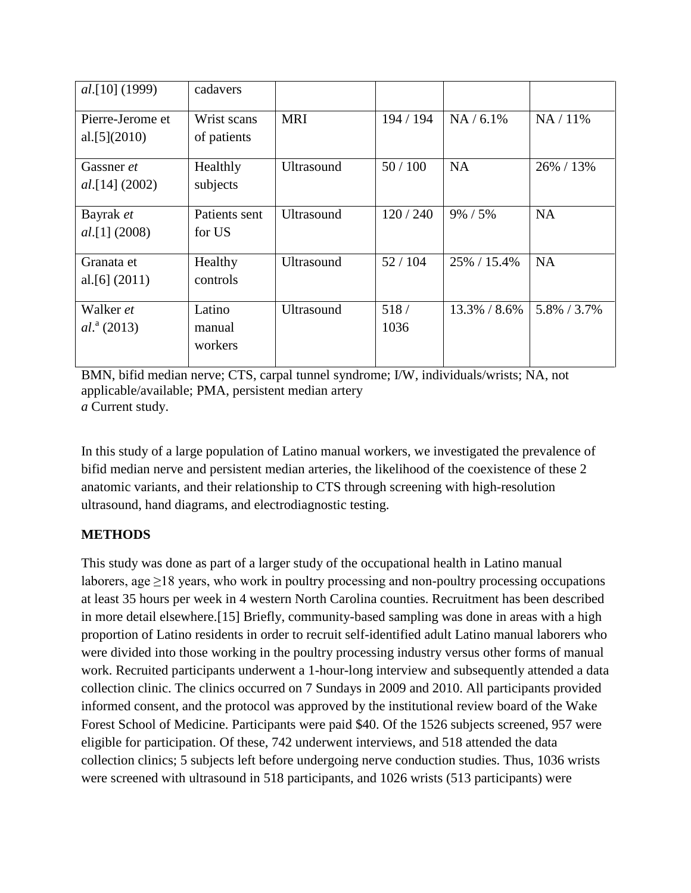| <i>al.</i> [10] (1999) | cadavers      |                   |           |              |             |
|------------------------|---------------|-------------------|-----------|--------------|-------------|
| Pierre-Jerome et       | Wrist scans   | <b>MRI</b>        | 194 / 194 | $NA / 6.1\%$ | $NA/11\%$   |
| al. $[5](2010)$        | of patients   |                   |           |              |             |
| Gassner et             | Healthly      | <b>Ultrasound</b> | 50/100    | <b>NA</b>    | 26% / 13%   |
| $al.[14]$ (2002)       | subjects      |                   |           |              |             |
| Bayrak et              | Patients sent | <b>Ultrasound</b> | 120/240   | $9\% / 5\%$  | <b>NA</b>   |
| $al.[1]$ (2008)        | for US        |                   |           |              |             |
| Granata et             | Healthy       | <b>Ultrasound</b> | 52/104    | 25% / 15.4%  | <b>NA</b>   |
| al. [6] $(2011)$       | controls      |                   |           |              |             |
| Walker et              | Latino        | <b>Ultrasound</b> | 518/      | 13.3% / 8.6% | 5.8% / 3.7% |
| $al.^{a}$ (2013)       | manual        |                   | 1036      |              |             |
|                        | workers       |                   |           |              |             |

```
BMN, bifid median nerve; CTS, carpal tunnel syndrome; I/W, individuals/wrists; NA, not 
applicable/available; PMA, persistent median artery
a Current study.
```
In this study of a large population of Latino manual workers, we investigated the prevalence of bifid median nerve and persistent median arteries, the likelihood of the coexistence of these 2 anatomic variants, and their relationship to CTS through screening with high-resolution ultrasound, hand diagrams, and electrodiagnostic testing.

# **METHODS**

This study was done as part of a larger study of the occupational health in Latino manual laborers, age  $\geq$ 18 years, who work in poultry processing and non-poultry processing occupations at least 35 hours per week in 4 western North Carolina counties. Recruitment has been described in more detail elsewhere.[15] Briefly, community-based sampling was done in areas with a high proportion of Latino residents in order to recruit self-identified adult Latino manual laborers who were divided into those working in the poultry processing industry versus other forms of manual work. Recruited participants underwent a 1-hour-long interview and subsequently attended a data collection clinic. The clinics occurred on 7 Sundays in 2009 and 2010. All participants provided informed consent, and the protocol was approved by the institutional review board of the Wake Forest School of Medicine. Participants were paid \$40. Of the 1526 subjects screened, 957 were eligible for participation. Of these, 742 underwent interviews, and 518 attended the data collection clinics; 5 subjects left before undergoing nerve conduction studies. Thus, 1036 wrists were screened with ultrasound in 518 participants, and 1026 wrists (513 participants) were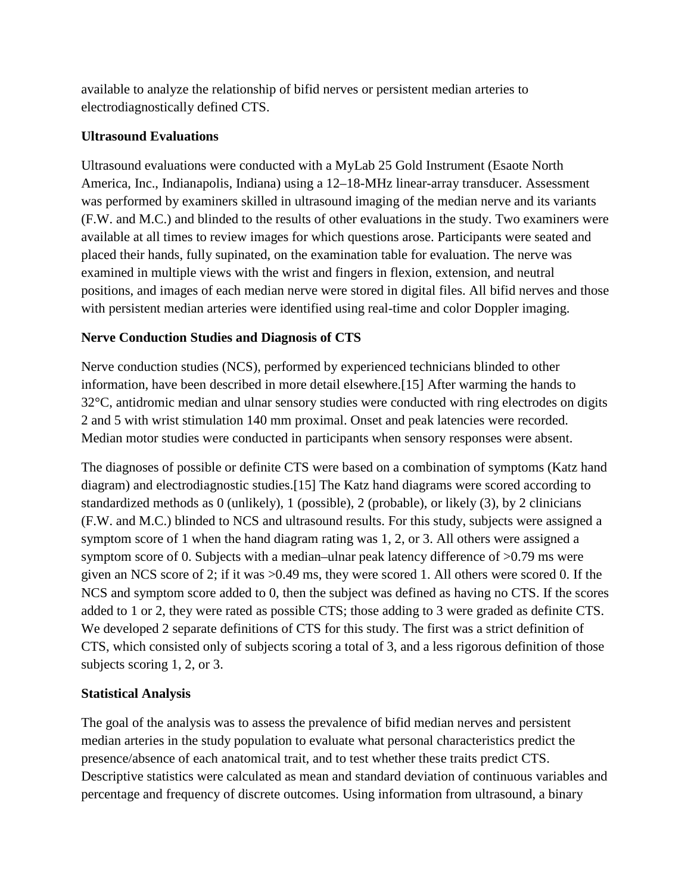available to analyze the relationship of bifid nerves or persistent median arteries to electrodiagnostically defined CTS.

## **Ultrasound Evaluations**

Ultrasound evaluations were conducted with a MyLab 25 Gold Instrument (Esaote North America, Inc., Indianapolis, Indiana) using a 12–18-MHz linear-array transducer. Assessment was performed by examiners skilled in ultrasound imaging of the median nerve and its variants (F.W. and M.C.) and blinded to the results of other evaluations in the study. Two examiners were available at all times to review images for which questions arose. Participants were seated and placed their hands, fully supinated, on the examination table for evaluation. The nerve was examined in multiple views with the wrist and fingers in flexion, extension, and neutral positions, and images of each median nerve were stored in digital files. All bifid nerves and those with persistent median arteries were identified using real-time and color Doppler imaging.

# **Nerve Conduction Studies and Diagnosis of CTS**

Nerve conduction studies (NCS), performed by experienced technicians blinded to other information, have been described in more detail elsewhere.[15] After warming the hands to 32°C, antidromic median and ulnar sensory studies were conducted with ring electrodes on digits 2 and 5 with wrist stimulation 140 mm proximal. Onset and peak latencies were recorded. Median motor studies were conducted in participants when sensory responses were absent.

The diagnoses of possible or definite CTS were based on a combination of symptoms (Katz hand diagram) and electrodiagnostic studies.[15] The Katz hand diagrams were scored according to standardized methods as 0 (unlikely), 1 (possible), 2 (probable), or likely (3), by 2 clinicians (F.W. and M.C.) blinded to NCS and ultrasound results. For this study, subjects were assigned a symptom score of 1 when the hand diagram rating was 1, 2, or 3. All others were assigned a symptom score of 0. Subjects with a median–ulnar peak latency difference of  $>0.79$  ms were given an NCS score of 2; if it was >0.49 ms, they were scored 1. All others were scored 0. If the NCS and symptom score added to 0, then the subject was defined as having no CTS. If the scores added to 1 or 2, they were rated as possible CTS; those adding to 3 were graded as definite CTS. We developed 2 separate definitions of CTS for this study. The first was a strict definition of CTS, which consisted only of subjects scoring a total of 3, and a less rigorous definition of those subjects scoring 1, 2, or 3.

# **Statistical Analysis**

The goal of the analysis was to assess the prevalence of bifid median nerves and persistent median arteries in the study population to evaluate what personal characteristics predict the presence/absence of each anatomical trait, and to test whether these traits predict CTS. Descriptive statistics were calculated as mean and standard deviation of continuous variables and percentage and frequency of discrete outcomes. Using information from ultrasound, a binary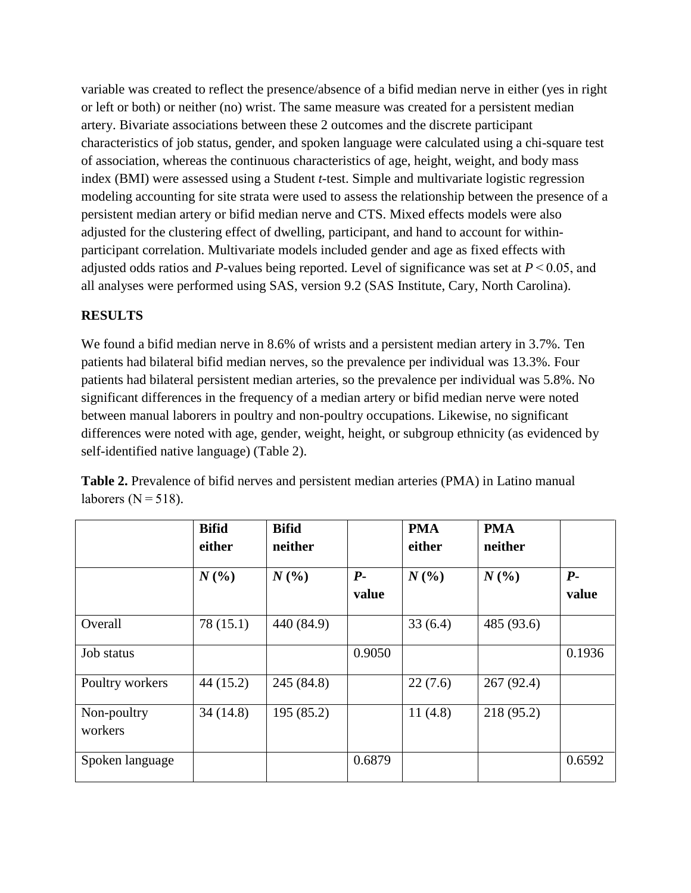variable was created to reflect the presence/absence of a bifid median nerve in either (yes in right or left or both) or neither (no) wrist. The same measure was created for a persistent median artery. Bivariate associations between these 2 outcomes and the discrete participant characteristics of job status, gender, and spoken language were calculated using a chi-square test of association, whereas the continuous characteristics of age, height, weight, and body mass index (BMI) were assessed using a Student *t*-test. Simple and multivariate logistic regression modeling accounting for site strata were used to assess the relationship between the presence of a persistent median artery or bifid median nerve and CTS. Mixed effects models were also adjusted for the clustering effect of dwelling, participant, and hand to account for withinparticipant correlation. Multivariate models included gender and age as fixed effects with adjusted odds ratios and *P*-values being reported. Level of significance was set at  $P \le 0.05$ , and all analyses were performed using SAS, version 9.2 (SAS Institute, Cary, North Carolina).

## **RESULTS**

We found a bifid median nerve in 8.6% of wrists and a persistent median artery in 3.7%. Ten patients had bilateral bifid median nerves, so the prevalence per individual was 13.3%. Four patients had bilateral persistent median arteries, so the prevalence per individual was 5.8%. No significant differences in the frequency of a median artery or bifid median nerve were noted between manual laborers in poultry and non-poultry occupations. Likewise, no significant differences were noted with age, gender, weight, height, or subgroup ethnicity (as evidenced by self-identified native language) (Table 2).

|                        | <b>Bifid</b><br>either | <b>Bifid</b><br>neither |        | <b>PMA</b><br>either | <b>PMA</b><br>neither |        |
|------------------------|------------------------|-------------------------|--------|----------------------|-----------------------|--------|
|                        | N(%                    | N(%                     | $P-$   | $N($ % $)$           | N(%                   | $P-$   |
|                        |                        |                         | value  |                      |                       | value  |
| Overall                | 78(15.1)               | 440 (84.9)              |        | 33(6.4)              | 485 (93.6)            |        |
| Job status             |                        |                         | 0.9050 |                      |                       | 0.1936 |
| Poultry workers        | 44(15.2)               | 245 (84.8)              |        | 22(7.6)              | 267(92.4)             |        |
| Non-poultry<br>workers | 34(14.8)               | 195 (85.2)              |        | 11(4.8)              | 218 (95.2)            |        |
| Spoken language        |                        |                         | 0.6879 |                      |                       | 0.6592 |

**Table 2.** Prevalence of bifid nerves and persistent median arteries (PMA) in Latino manual laborers ( $N = 518$ ).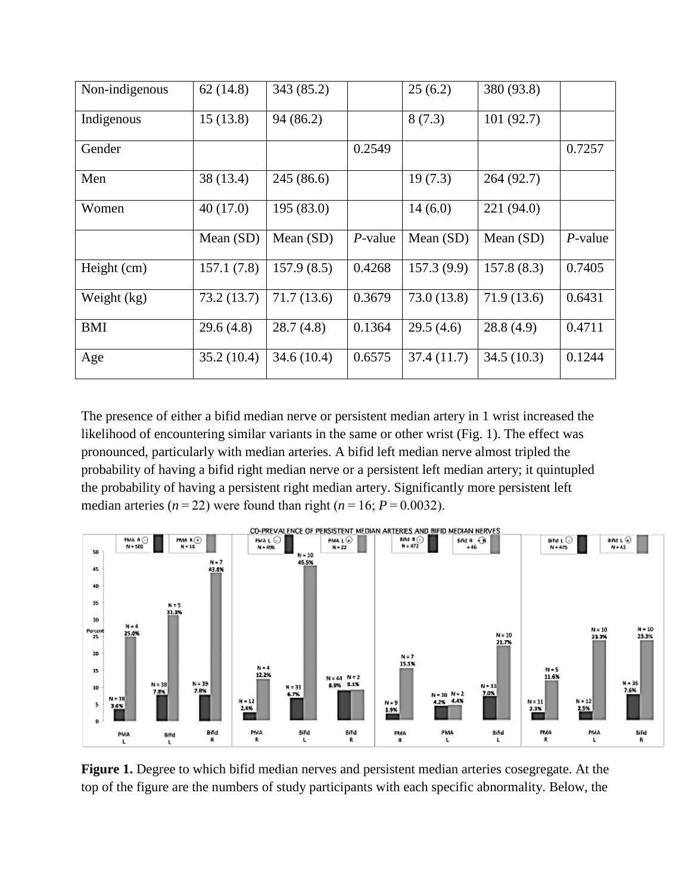| Non-indigenous | 62(14.8)    | 343 (85.2)  |            | 25(6.2)     | 380 (93.8)  |            |
|----------------|-------------|-------------|------------|-------------|-------------|------------|
| Indigenous     | 15(13.8)    | 94(86.2)    |            | 8(7.3)      | 101(92.7)   |            |
| Gender         |             |             | 0.2549     |             |             | 0.7257     |
| Men            | 38 (13.4)   | 245(86.6)   |            | 19(7.3)     | 264(92.7)   |            |
| Women          | 40(17.0)    | 195(83.0)   |            | 14(6.0)     | 221 (94.0)  |            |
|                | Mean $(SD)$ | Mean $(SD)$ | $P$ -value | Mean $(SD)$ | Mean $(SD)$ | $P$ -value |
| Height (cm)    | 157.1(7.8)  | 157.9(8.5)  | 0.4268     | 157.3(9.9)  | 157.8(8.3)  | 0.7405     |
| Weight (kg)    | 73.2(13.7)  | 71.7(13.6)  | 0.3679     | 73.0(13.8)  | 71.9(13.6)  | 0.6431     |
| <b>BMI</b>     | 29.6(4.8)   | 28.7(4.8)   | 0.1364     | 29.5(4.6)   | 28.8(4.9)   | 0.4711     |
| Age            | 35.2(10.4)  | 34.6(10.4)  | 0.6575     | 37.4 (11.7) | 34.5(10.3)  | 0.1244     |

The presence of either a bifid median nerve or persistent median artery in 1 wrist increased the likelihood of encountering similar variants in the same or other wrist (Fig. 1). The effect was pronounced, particularly with median arteries. A bifid left median nerve almost tripled the probability of having a bifid right median nerve or a persistent left median artery; it quintupled the probability of having a persistent right median artery. Significantly more persistent left median arteries ( $n = 22$ ) were found than right ( $n = 16$ ;  $P = 0.0032$ ).



**Figure 1.** Degree to which bifid median nerves and persistent median arteries cosegregate. At the top of the figure are the numbers of study participants with each specific abnormality. Below, the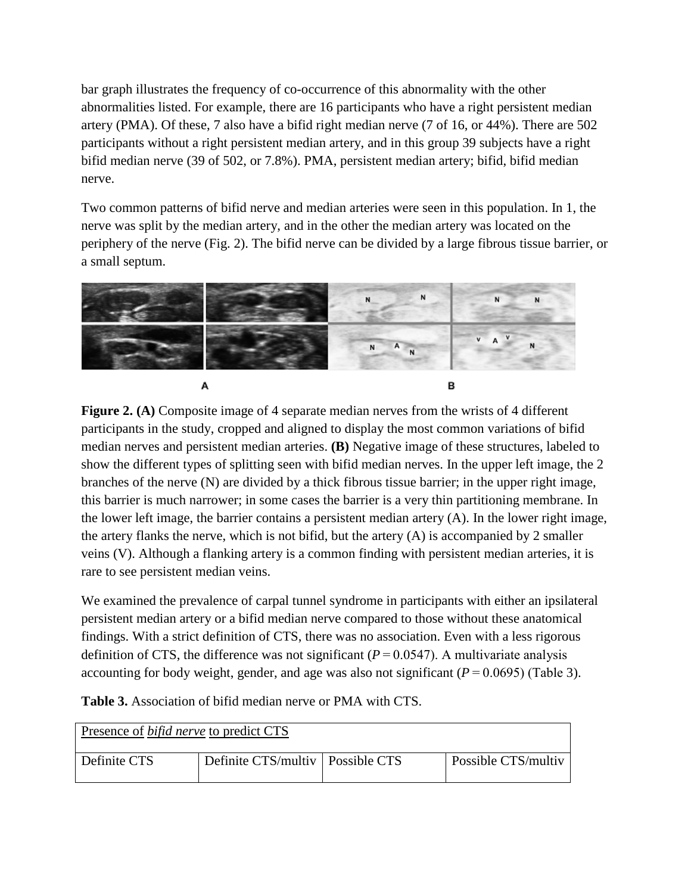bar graph illustrates the frequency of co-occurrence of this abnormality with the other abnormalities listed. For example, there are 16 participants who have a right persistent median artery (PMA). Of these, 7 also have a bifid right median nerve (7 of 16, or 44%). There are 502 participants without a right persistent median artery, and in this group 39 subjects have a right bifid median nerve (39 of 502, or 7.8%). PMA, persistent median artery; bifid, bifid median nerve.

Two common patterns of bifid nerve and median arteries were seen in this population. In 1, the nerve was split by the median artery, and in the other the median artery was located on the periphery of the nerve (Fig. 2). The bifid nerve can be divided by a large fibrous tissue barrier, or a small septum.



**Figure 2. (A)** Composite image of 4 separate median nerves from the wrists of 4 different participants in the study, cropped and aligned to display the most common variations of bifid median nerves and persistent median arteries. **(B)** Negative image of these structures, labeled to show the different types of splitting seen with bifid median nerves. In the upper left image, the 2 branches of the nerve (N) are divided by a thick fibrous tissue barrier; in the upper right image, this barrier is much narrower; in some cases the barrier is a very thin partitioning membrane. In the lower left image, the barrier contains a persistent median artery (A). In the lower right image, the artery flanks the nerve, which is not bifid, but the artery (A) is accompanied by 2 smaller veins (V). Although a flanking artery is a common finding with persistent median arteries, it is rare to see persistent median veins.

We examined the prevalence of carpal tunnel syndrome in participants with either an ipsilateral persistent median artery or a bifid median nerve compared to those without these anatomical findings. With a strict definition of CTS, there was no association. Even with a less rigorous definition of CTS, the difference was not significant  $(P = 0.0547)$ . A multivariate analysis accounting for body weight, gender, and age was also not significant  $(P = 0.0695)$  (Table 3).

| <b>Table 3.</b> Association of bifid median nerve or PMA with CTS. |  |  |
|--------------------------------------------------------------------|--|--|
|--------------------------------------------------------------------|--|--|

| Presence of <i>bifid nerve</i> to predict CTS |                                    |  |                     |  |  |  |
|-----------------------------------------------|------------------------------------|--|---------------------|--|--|--|
| Definite CTS                                  | Definite CTS/multiv   Possible CTS |  | Possible CTS/multiv |  |  |  |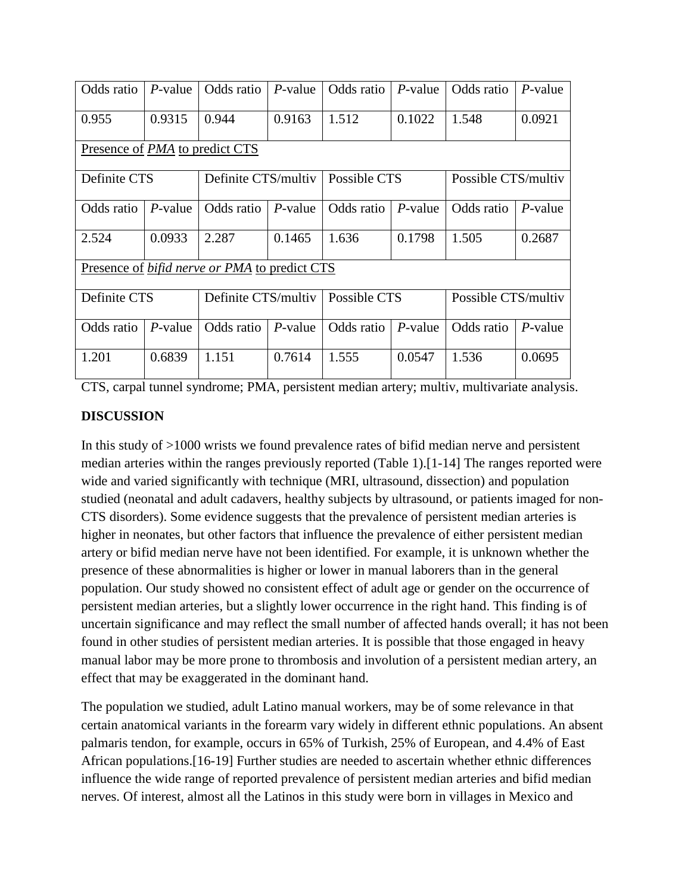| Odds ratio                                           | $P$ -value | Odds ratio          | $P$ -value | Odds ratio   | $P$ -value | Odds ratio          | $P$ -value |  |
|------------------------------------------------------|------------|---------------------|------------|--------------|------------|---------------------|------------|--|
| 0.955                                                | 0.9315     | 0.944               | 0.9163     | 1.512        | 0.1022     | 1.548               | 0.0921     |  |
| Presence of <i>PMA</i> to predict CTS                |            |                     |            |              |            |                     |            |  |
| Definite CTS                                         |            | Definite CTS/multiv |            | Possible CTS |            | Possible CTS/multiv |            |  |
| Odds ratio                                           | $P$ -value | Odds ratio          | $P$ -value | Odds ratio   | $P$ -value | Odds ratio          | $P$ -value |  |
| 2.524                                                | 0.0933     | 2.287               | 0.1465     | 1.636        | 0.1798     | 1.505               | 0.2687     |  |
| Presence of <i>bifid nerve or PMA</i> to predict CTS |            |                     |            |              |            |                     |            |  |
| Definite CTS                                         |            | Definite CTS/multiv |            | Possible CTS |            | Possible CTS/multiv |            |  |
| Odds ratio                                           | $P$ -value | Odds ratio          | $P$ -value | Odds ratio   | $P$ -value | Odds ratio          | $P$ -value |  |
| 1.201                                                | 0.6839     | 1.151               | 0.7614     | 1.555        | 0.0547     | 1.536               | 0.0695     |  |

CTS, carpal tunnel syndrome; PMA, persistent median artery; multiv, multivariate analysis.

## **DISCUSSION**

In this study of >1000 wrists we found prevalence rates of bifid median nerve and persistent median arteries within the ranges previously reported (Table 1).[1-14] The ranges reported were wide and varied significantly with technique (MRI, ultrasound, dissection) and population studied (neonatal and adult cadavers, healthy subjects by ultrasound, or patients imaged for non-CTS disorders). Some evidence suggests that the prevalence of persistent median arteries is higher in neonates, but other factors that influence the prevalence of either persistent median artery or bifid median nerve have not been identified. For example, it is unknown whether the presence of these abnormalities is higher or lower in manual laborers than in the general population. Our study showed no consistent effect of adult age or gender on the occurrence of persistent median arteries, but a slightly lower occurrence in the right hand. This finding is of uncertain significance and may reflect the small number of affected hands overall; it has not been found in other studies of persistent median arteries. It is possible that those engaged in heavy manual labor may be more prone to thrombosis and involution of a persistent median artery, an effect that may be exaggerated in the dominant hand.

The population we studied, adult Latino manual workers, may be of some relevance in that certain anatomical variants in the forearm vary widely in different ethnic populations. An absent palmaris tendon, for example, occurs in 65% of Turkish, 25% of European, and 4.4% of East African populations.[16-19] Further studies are needed to ascertain whether ethnic differences influence the wide range of reported prevalence of persistent median arteries and bifid median nerves. Of interest, almost all the Latinos in this study were born in villages in Mexico and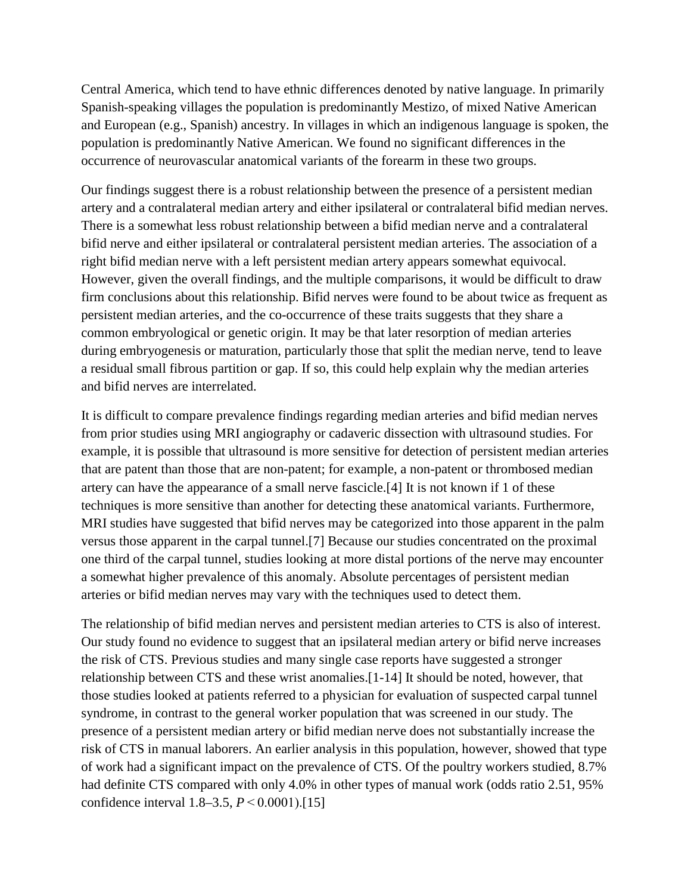Central America, which tend to have ethnic differences denoted by native language. In primarily Spanish-speaking villages the population is predominantly Mestizo, of mixed Native American and European (e.g., Spanish) ancestry. In villages in which an indigenous language is spoken, the population is predominantly Native American. We found no significant differences in the occurrence of neurovascular anatomical variants of the forearm in these two groups.

Our findings suggest there is a robust relationship between the presence of a persistent median artery and a contralateral median artery and either ipsilateral or contralateral bifid median nerves. There is a somewhat less robust relationship between a bifid median nerve and a contralateral bifid nerve and either ipsilateral or contralateral persistent median arteries. The association of a right bifid median nerve with a left persistent median artery appears somewhat equivocal. However, given the overall findings, and the multiple comparisons, it would be difficult to draw firm conclusions about this relationship. Bifid nerves were found to be about twice as frequent as persistent median arteries, and the co-occurrence of these traits suggests that they share a common embryological or genetic origin. It may be that later resorption of median arteries during embryogenesis or maturation, particularly those that split the median nerve, tend to leave a residual small fibrous partition or gap. If so, this could help explain why the median arteries and bifid nerves are interrelated.

It is difficult to compare prevalence findings regarding median arteries and bifid median nerves from prior studies using MRI angiography or cadaveric dissection with ultrasound studies. For example, it is possible that ultrasound is more sensitive for detection of persistent median arteries that are patent than those that are non-patent; for example, a non-patent or thrombosed median artery can have the appearance of a small nerve fascicle.[4] It is not known if 1 of these techniques is more sensitive than another for detecting these anatomical variants. Furthermore, MRI studies have suggested that bifid nerves may be categorized into those apparent in the palm versus those apparent in the carpal tunnel.[7] Because our studies concentrated on the proximal one third of the carpal tunnel, studies looking at more distal portions of the nerve may encounter a somewhat higher prevalence of this anomaly. Absolute percentages of persistent median arteries or bifid median nerves may vary with the techniques used to detect them.

The relationship of bifid median nerves and persistent median arteries to CTS is also of interest. Our study found no evidence to suggest that an ipsilateral median artery or bifid nerve increases the risk of CTS. Previous studies and many single case reports have suggested a stronger relationship between CTS and these wrist anomalies.[1-14] It should be noted, however, that those studies looked at patients referred to a physician for evaluation of suspected carpal tunnel syndrome, in contrast to the general worker population that was screened in our study. The presence of a persistent median artery or bifid median nerve does not substantially increase the risk of CTS in manual laborers. An earlier analysis in this population, however, showed that type of work had a significant impact on the prevalence of CTS. Of the poultry workers studied, 8.7% had definite CTS compared with only 4.0% in other types of manual work (odds ratio 2.51, 95% confidence interval 1.8–3.5, *P* < 0.0001).[15]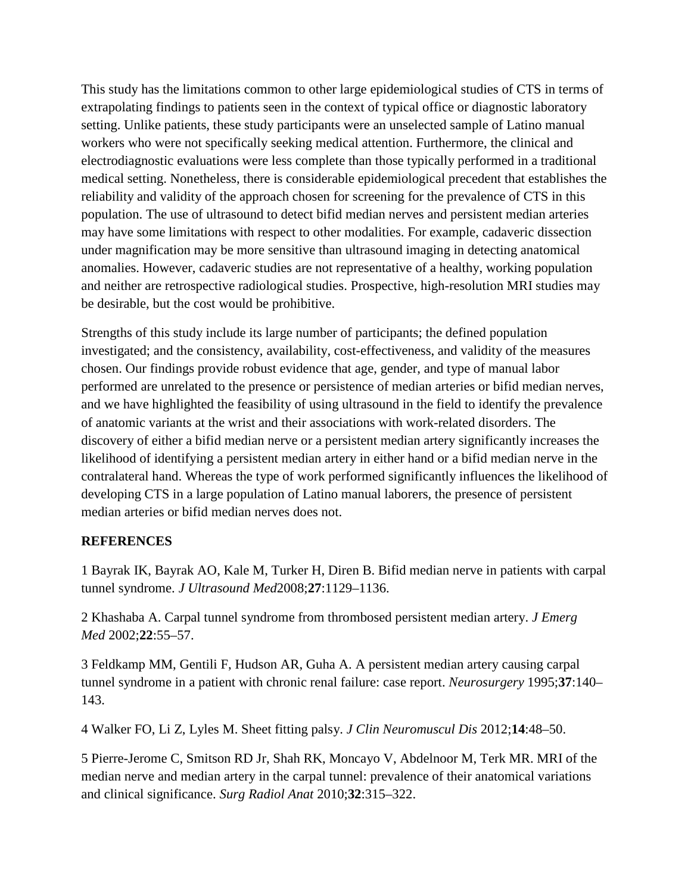This study has the limitations common to other large epidemiological studies of CTS in terms of extrapolating findings to patients seen in the context of typical office or diagnostic laboratory setting. Unlike patients, these study participants were an unselected sample of Latino manual workers who were not specifically seeking medical attention. Furthermore, the clinical and electrodiagnostic evaluations were less complete than those typically performed in a traditional medical setting. Nonetheless, there is considerable epidemiological precedent that establishes the reliability and validity of the approach chosen for screening for the prevalence of CTS in this population. The use of ultrasound to detect bifid median nerves and persistent median arteries may have some limitations with respect to other modalities. For example, cadaveric dissection under magnification may be more sensitive than ultrasound imaging in detecting anatomical anomalies. However, cadaveric studies are not representative of a healthy, working population and neither are retrospective radiological studies. Prospective, high-resolution MRI studies may be desirable, but the cost would be prohibitive.

Strengths of this study include its large number of participants; the defined population investigated; and the consistency, availability, cost-effectiveness, and validity of the measures chosen. Our findings provide robust evidence that age, gender, and type of manual labor performed are unrelated to the presence or persistence of median arteries or bifid median nerves, and we have highlighted the feasibility of using ultrasound in the field to identify the prevalence of anatomic variants at the wrist and their associations with work-related disorders. The discovery of either a bifid median nerve or a persistent median artery significantly increases the likelihood of identifying a persistent median artery in either hand or a bifid median nerve in the contralateral hand. Whereas the type of work performed significantly influences the likelihood of developing CTS in a large population of Latino manual laborers, the presence of persistent median arteries or bifid median nerves does not.

### **REFERENCES**

1 Bayrak IK, Bayrak AO, Kale M, Turker H, Diren B. Bifid median nerve in patients with carpal tunnel syndrome. *J Ultrasound Med*2008;**27**:1129–1136.

2 Khashaba A. Carpal tunnel syndrome from thrombosed persistent median artery. *J Emerg Med* 2002;**22**:55–57.

3 Feldkamp MM, Gentili F, Hudson AR, Guha A. A persistent median artery causing carpal tunnel syndrome in a patient with chronic renal failure: case report. *Neurosurgery* 1995;**37**:140– 143.

4 Walker FO, Li Z, Lyles M. Sheet fitting palsy. *J Clin Neuromuscul Dis* 2012;**14**:48–50.

5 Pierre-Jerome C, Smitson RD Jr, Shah RK, Moncayo V, Abdelnoor M, Terk MR. MRI of the median nerve and median artery in the carpal tunnel: prevalence of their anatomical variations and clinical significance. *Surg Radiol Anat* 2010;**32**:315–322.